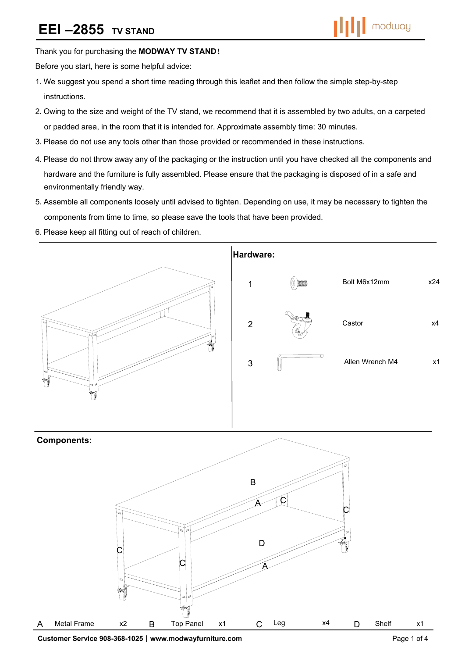## **EEI-2855 TV STAND**



#### Thank you for purchasing the **MODWAY TV STAND**!

Before you start, here is some helpful advice:

- 1.We suggest you spend a short time reading through this leaflet and then follow the simple step-by-step instructions.
- 2.Owing to the size and weight of the TV stand, we recommend that it is assembled by two adults, on a carpeted or padded area, in the room that it is intended for. Approximate assembly time: 30 minutes.
- 3.Please do not use any tools other than those provided or recommended in these instructions.
- 4.Please do not throw away any of the packaging or the instruction until you have checked all the components and hardware and the furniture is fully assembled. Please ensure that the packaging is disposed of in a safe and environmentally friendly way.
- 5.Assemble all components loosely until advised to tighten. Depending on use, it may be necessary to tighten the components from time to time, so please save the tools that have been provided.
- 6.Please keep all fitting out of reach of children.



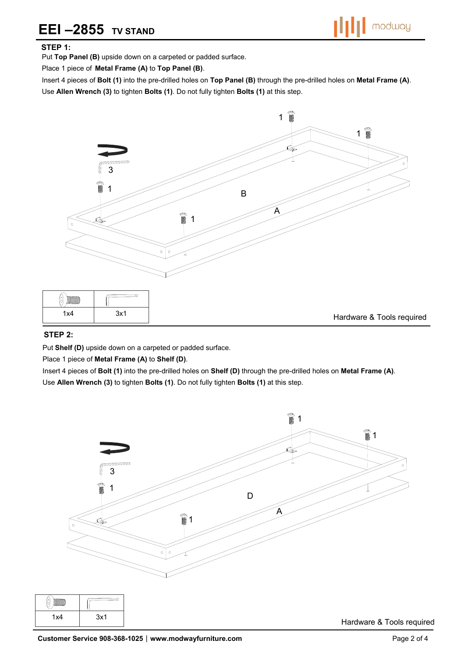### **EEI-2855 TV STAND**



### **STEP 1:**

Put **Top Panel (B)** upside down on a carpeted or padded surface.

Place 1 piece of **Metal Frame (A)** to **Top Panel (B)**.

Insert 4 pieces of **Bolt (1)** into the pre-drilled holes on **Top Panel (B)** through the pre-drilled holes on **Metal Frame (A)**. Use **Allen Wrench (3)** to tighten **Bolts (1)**. Do not fully tighten **Bolts (1)** at this step.



#### **STEP 2:**

Put **Shelf (D)** upside down on a carpeted or padded surface.

Place 1 piece of **Metal Frame (A)** to **Shelf (D)**.

Insert 4 pieces of **Bolt (1)** into the pre-drilled holes on **Shelf (D)** through the pre-drilled holes on **Metal Frame (A)**. Use **Allen Wrench (3)** to tighten **Bolts (1)**. Do not fully tighten **Bolts (1)** at this step.

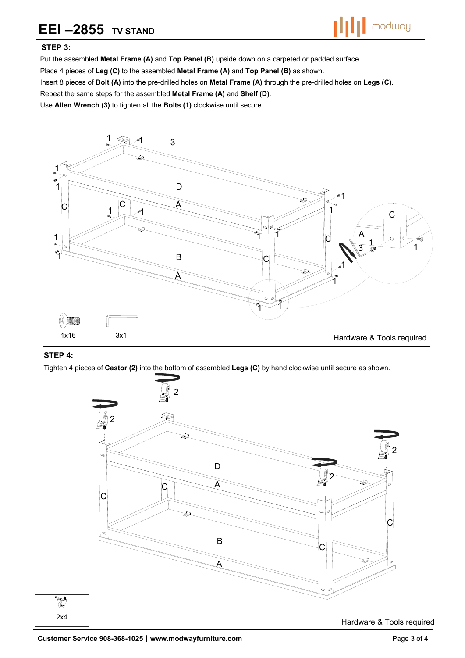## **EEI-2855 TV STAND**



### **STEP 3:**

Put the assembled **Metal Frame (A)** and **Top Panel (B)** upside down on a carpeted or padded surface.

Place 4 pieces of **Leg (C)** to the assembled **Metal Frame (A)** and **Top Panel (B)** as shown.

Insert 8 pieces of **Bolt (A)** into the pre-drilled holes on **Metal Frame (A)** through the pre-drilled holes on **Legs (C)**.

Repeat the same steps for the assembled **Metal Frame (A)** and **Shelf (D)**.

Use **Allen Wrench (3)** to tighten all the **Bolts (1)** clockwise until secure.



#### **STEP 4:**

Tighten 4 pieces of **Castor (2)** into the bottom of assembled **Legs (C)** by hand clockwise until secure as shown.





Hardware & Tools required